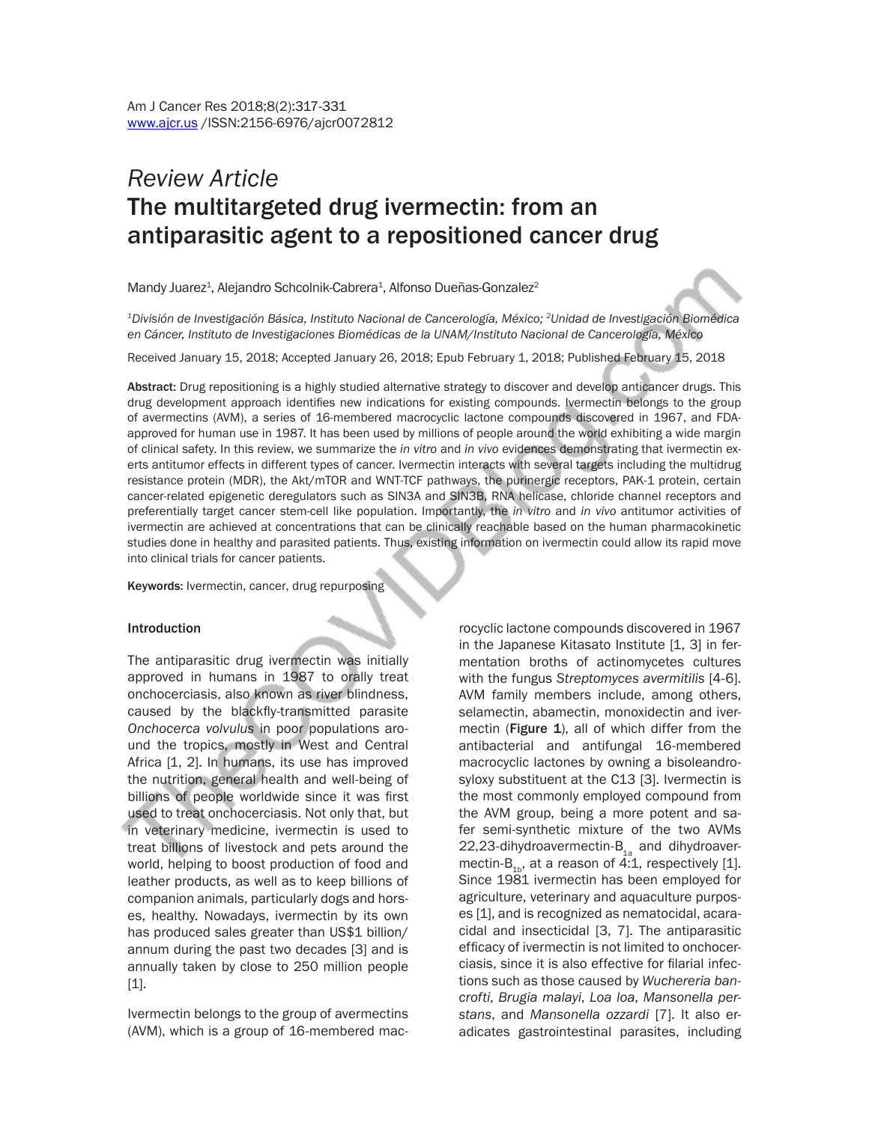# *Review Article*  The multitargeted drug ivermectin: from an antiparasitic agent to a repositioned cancer drug

Mandy Juarez<sup>1</sup>, Alejandro Schcolnik-Cabrera<sup>1</sup>, Alfonso Dueñas-Gonzalez<sup>2</sup>

*1División de Investigación Básica, Instituto Nacional de Cancerología, México; 2Unidad de Investigación Biomédica en Cáncer, Instituto de Investigaciones Biomédicas de la UNAM/Instituto Nacional de Cancerología, México*

Received January 15, 2018; Accepted January 26, 2018; Epub February 1, 2018; Published February 15, 2018

Abstract: Drug repositioning is a highly studied alternative strategy to discover and develop anticancer drugs. This drug development approach identifies new indications for existing compounds. Ivermectin belongs to the group of avermectins (AVM), a series of 16-membered macrocyclic lactone compounds discovered in 1967, and FDAapproved for human use in 1987. It has been used by millions of people around the world exhibiting a wide margin of clinical safety. In this review, we summarize the *in vitro* and *in vivo* evidences demonstrating that ivermectin exerts antitumor effects in different types of cancer. Ivermectin interacts with several targets including the multidrug resistance protein (MDR), the Akt/mTOR and WNT-TCF pathways, the purinergic receptors, PAK-1 protein, certain cancer-related epigenetic deregulators such as SIN3A and SIN3B, RNA helicase, chloride channel receptors and preferentially target cancer stem-cell like population. Importantly, the *in vitro* and *in vivo* antitumor activities of ivermectin are achieved at concentrations that can be clinically reachable based on the human pharmacokinetic studies done in healthy and parasited patients. Thus, existing information on ivermectin could allow its rapid move into clinical trials for cancer patients.

Keywords: Ivermectin, cancer, drug repurposing

#### **Introduction**

The antiparasitic drug ivermectin was initially approved in humans in 1987 to orally treat onchocerciasis, also known as river blindness, caused by the blackfly-transmitted parasite *Onchocerca volvulus* in poor populations around the tropics, mostly in West and Central Africa [1, 2]. In humans, its use has improved the nutrition, general health and well-being of billions of people worldwide since it was first used to treat onchocerciasis. Not only that, but in veterinary medicine, ivermectin is used to treat billions of livestock and pets around the world, helping to boost production of food and leather products, as well as to keep billions of companion animals, particularly dogs and horses, healthy. Nowadays, ivermectin by its own has produced sales greater than US\$1 billion/ annum during the past two decades [3] and is annually taken by close to 250 million people [1].

Ivermectin belongs to the group of avermectins (AVM), which is a group of 16-membered mac-

rocyclic lactone compounds discovered in 1967 in the Japanese Kitasato Institute [1, 3] in fermentation broths of actinomycetes cultures with the fungus *Streptomyces avermitilis* [4-6]. AVM family members include, among others, selamectin, abamectin, monoxidectin and ivermectin (Figure 1), all of which differ from the antibacterial and antifungal 16-membered macrocyclic lactones by owning a bisoleandrosyloxy substituent at the C13 [3]. Ivermectin is the most commonly employed compound from the AVM group, being a more potent and safer semi-synthetic mixture of the two AVMs 22,23-dihydroavermectin- $B_{1a}$  and dihydroavermectin-B<sub>1b</sub>, at a reason of 4:1, respectively [1]. Since 1981 ivermectin has been employed for agriculture, veterinary and aquaculture purposes [1], and is recognized as nematocidal, acaracidal and insecticidal [3, 7]. The antiparasitic efficacy of ivermectin is not limited to onchocerciasis, since it is also effective for filarial infections such as those caused by *Wuchereria bancrofti*, *Brugia malayi*, *Loa loa*, *Mansonella perstans*, and *Mansonella ozzardi* [7]. It also eradicates gastrointestinal parasites, including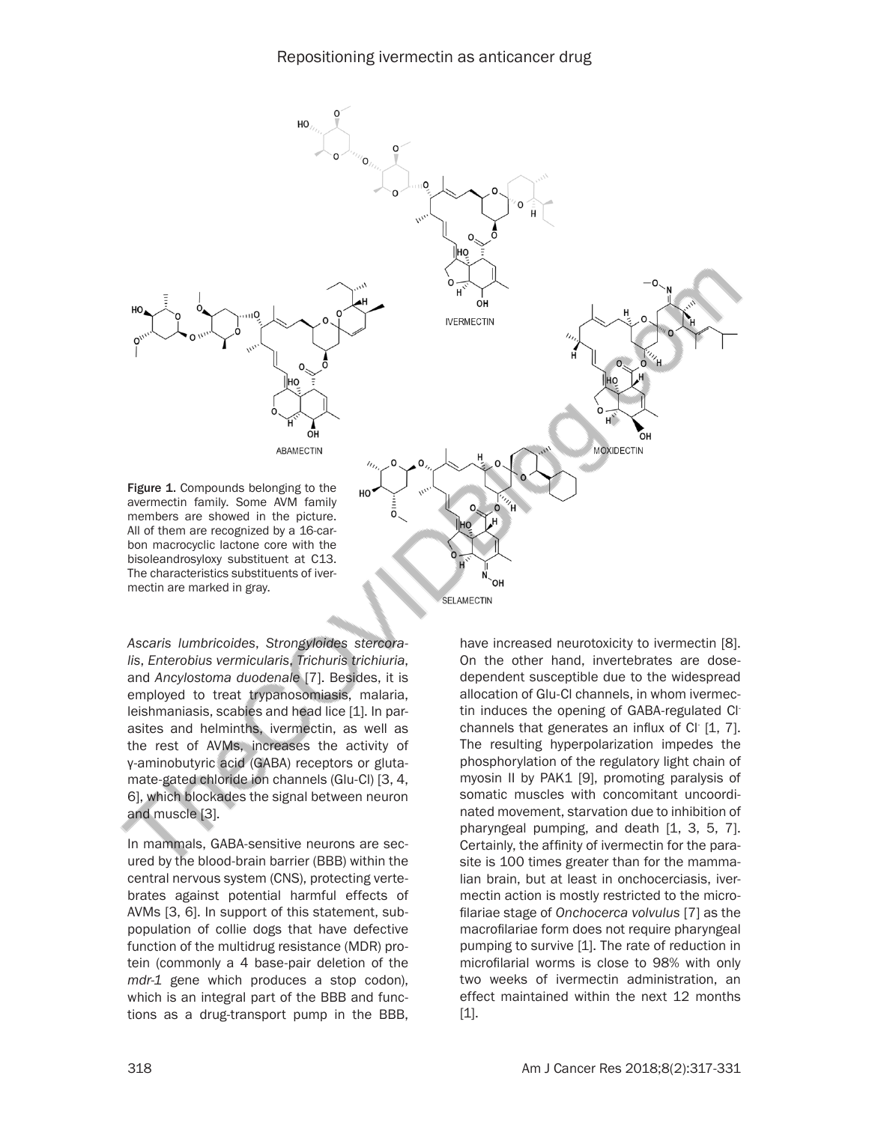

*Ascaris lumbricoides*, *Strongyloides stercoralis*, *Enterobius vermicularis*, *Trichuris trichiuria*, and *Ancylostoma duodenale* [7]. Besides, it is employed to treat trypanosomiasis, malaria, leishmaniasis, scabies and head lice [1]. In parasites and helminths, ivermectin, as well as the rest of AVMs, increases the activity of γ-aminobutyric acid (GABA) receptors or glutamate-gated chloride ion channels (Glu-Cl) [3, 4, 6], which blockades the signal between neuron and muscle [3].

In mammals, GABA-sensitive neurons are secured by the blood-brain barrier (BBB) within the central nervous system (CNS), protecting vertebrates against potential harmful effects of AVMs [3, 6]. In support of this statement, subpopulation of collie dogs that have defective function of the multidrug resistance (MDR) protein (commonly a 4 base-pair deletion of the *mdr-1* gene which produces a stop codon), which is an integral part of the BBB and functions as a drug-transport pump in the BBB, have increased neurotoxicity to ivermectin [8]. On the other hand, invertebrates are dosedependent susceptible due to the widespread allocation of Glu-Cl channels, in whom ivermectin induces the opening of GABA-regulated Clchannels that generates an influx of Cl- [1, 7]. The resulting hyperpolarization impedes the phosphorylation of the regulatory light chain of myosin II by PAK1 [9], promoting paralysis of somatic muscles with concomitant uncoordinated movement, starvation due to inhibition of pharyngeal pumping, and death [1, 3, 5, 7]. Certainly, the affinity of ivermectin for the parasite is 100 times greater than for the mammalian brain, but at least in onchocerciasis, ivermectin action is mostly restricted to the microfilariae stage of *Onchocerca volvulus* [7] as the macrofilariae form does not require pharyngeal pumping to survive [1]. The rate of reduction in microfilarial worms is close to 98% with only two weeks of ivermectin administration, an effect maintained within the next 12 months [1].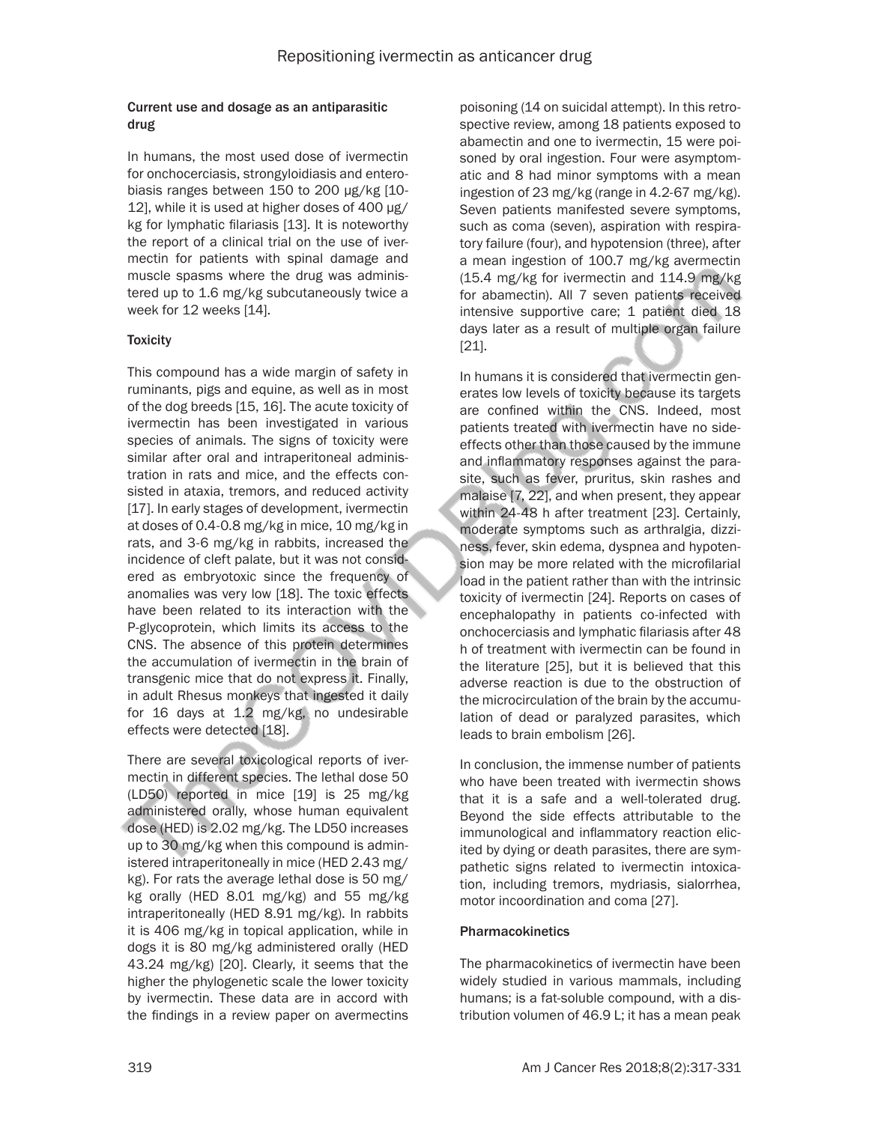#### Current use and dosage as an antiparasitic drug

In humans, the most used dose of ivermectin for onchocerciasis, strongyloidiasis and enterobiasis ranges between 150 to 200 µg/kg [10- 12], while it is used at higher doses of 400 µg/ kg for lymphatic filariasis [13]. It is noteworthy the report of a clinical trial on the use of ivermectin for patients with spinal damage and muscle spasms where the drug was administered up to 1.6 mg/kg subcutaneously twice a week for 12 weeks [14].

## **Toxicity**

This compound has a wide margin of safety in ruminants, pigs and equine, as well as in most of the dog breeds [15, 16]. The acute toxicity of ivermectin has been investigated in various species of animals. The signs of toxicity were similar after oral and intraperitoneal administration in rats and mice, and the effects consisted in ataxia, tremors, and reduced activity [17]. In early stages of development, ivermectin at doses of 0.4-0.8 mg/kg in mice, 10 mg/kg in rats, and 3-6 mg/kg in rabbits, increased the incidence of cleft palate, but it was not considered as embryotoxic since the frequency of anomalies was very low [18]. The toxic effects have been related to its interaction with the P-glycoprotein, which limits its access to the CNS. The absence of this protein determines the accumulation of ivermectin in the brain of transgenic mice that do not express it. Finally, in adult Rhesus monkeys that ingested it daily for 16 days at 1.2 mg/kg, no undesirable effects were detected [18].

There are several toxicological reports of ivermectin in different species. The lethal dose 50 (LD50) reported in mice [19] is 25 mg/kg administered orally, whose human equivalent dose (HED) is 2.02 mg/kg. The LD50 increases up to 30 mg/kg when this compound is administered intraperitoneally in mice (HED 2.43 mg/ kg). For rats the average lethal dose is 50 mg/ kg orally (HED 8.01 mg/kg) and 55 mg/kg intraperitoneally (HED 8.91 mg/kg). In rabbits it is 406 mg/kg in topical application, while in dogs it is 80 mg/kg administered orally (HED 43.24 mg/kg) [20]. Clearly, it seems that the higher the phylogenetic scale the lower toxicity by ivermectin. These data are in accord with the findings in a review paper on avermectins

poisoning (14 on suicidal attempt). In this retrospective review, among 18 patients exposed to abamectin and one to ivermectin, 15 were poisoned by oral ingestion. Four were asymptomatic and 8 had minor symptoms with a mean ingestion of 23 mg/kg (range in 4.2-67 mg/kg). Seven patients manifested severe symptoms, such as coma (seven), aspiration with respiratory failure (four), and hypotension (three), after a mean ingestion of 100.7 mg/kg avermectin (15.4 mg/kg for ivermectin and 114.9 mg/kg for abamectin). All 7 seven patients received intensive supportive care; 1 patient died 18 days later as a result of multiple organ failure [21].

In humans it is considered that ivermectin generates low levels of toxicity because its targets are confined within the CNS. Indeed, most patients treated with ivermectin have no sideeffects other than those caused by the immune and inflammatory responses against the parasite, such as fever, pruritus, skin rashes and malaise [7, 22], and when present, they appear within 24-48 h after treatment [23]. Certainly, moderate symptoms such as arthralgia, dizziness, fever, skin edema, dyspnea and hypotension may be more related with the microfilarial load in the patient rather than with the intrinsic toxicity of ivermectin [24]. Reports on cases of encephalopathy in patients co-infected with onchocerciasis and lymphatic filariasis after 48 h of treatment with ivermectin can be found in the literature [25], but it is believed that this adverse reaction is due to the obstruction of the microcirculation of the brain by the accumulation of dead or paralyzed parasites, which leads to brain embolism [26].

In conclusion, the immense number of patients who have been treated with ivermectin shows that it is a safe and a well-tolerated drug. Beyond the side effects attributable to the immunological and inflammatory reaction elicited by dying or death parasites, there are sympathetic signs related to ivermectin intoxication, including tremors, mydriasis, sialorrhea, motor incoordination and coma [27].

### Pharmacokinetics

The pharmacokinetics of ivermectin have been widely studied in various mammals, including humans; is a fat-soluble compound, with a distribution volumen of 46.9 L; it has a mean peak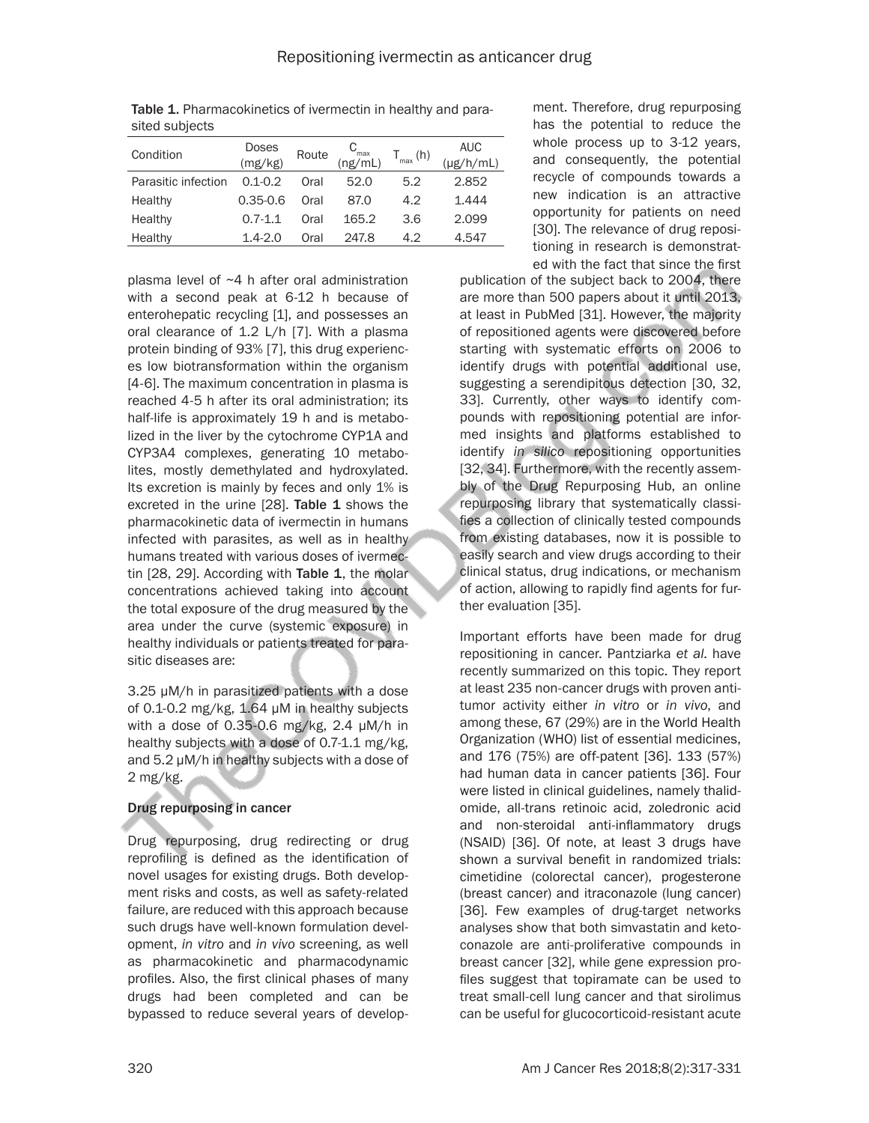| oituu ouvjuuto      |                  |       |                             |               |                              |
|---------------------|------------------|-------|-----------------------------|---------------|------------------------------|
| Condition           | Doses<br>(mg/kg) | Route | $C_{\text{max}}$<br>(ng/mL) | $T_{max}$ (h) | <b>AUC</b><br>$(\mu$ g/h/mL) |
| Parasitic infection | $0.1 - 0.2$      | Oral  | 52.0                        | 5.2           | 2.852                        |
| Healthy             | $0.35 - 0.6$     | Oral  | 87.0                        | 4.2           | 1.444                        |
| Healthy             | $0.7 - 1.1$      | Oral  | 165.2                       | 3.6           | 2.099                        |
| Healthy             | $1.4 - 2.0$      | Oral  | 247.8                       | 4.2           | 4.547                        |

Table 1. Pharmacokinetics of ivermectin in healthy and parasited subjects

plasma level of ~4 h after oral administration with a second peak at 6-12 h because of enterohepatic recycling [1], and possesses an oral clearance of 1.2 L/h [7]. With a plasma protein binding of 93% [7], this drug experiences low biotransformation within the organism [4-6]. The maximum concentration in plasma is reached 4-5 h after its oral administration; its half-life is approximately 19 h and is metabolized in the liver by the cytochrome CYP1A and CYP3A4 complexes, generating 10 metabolites, mostly demethylated and hydroxylated. Its excretion is mainly by feces and only 1% is excreted in the urine [28]. Table 1 shows the pharmacokinetic data of ivermectin in humans infected with parasites, as well as in healthy humans treated with various doses of ivermectin  $[28, 29]$ . According with Table 1, the molar concentrations achieved taking into account the total exposure of the drug measured by the area under the curve (systemic exposure) in healthy individuals or patients treated for parasitic diseases are:

3.25 μM/h in parasitized patients with a dose of 0.1-0.2 mg/kg, 1.64 μM in healthy subjects with a dose of 0.35-0.6 mg/kg, 2.4 μM/h in healthy subjects with a dose of 0.7-1.1 mg/kg, and 5.2 μM/h in healthy subjects with a dose of 2 mg/kg.

## Drug repurposing in cancer

Drug repurposing, drug redirecting or drug reprofiling is defined as the identification of novel usages for existing drugs. Both development risks and costs, as well as safety-related failure, are reduced with this approach because such drugs have well-known formulation development, *in vitro* and *in vivo* screening, as well as pharmacokinetic and pharmacodynamic profiles. Also, the first clinical phases of many drugs had been completed and can be bypassed to reduce several years of development. Therefore, drug repurposing has the potential to reduce the whole process up to 3-12 years, and consequently, the potential recycle of compounds towards a new indication is an attractive opportunity for patients on need [30]. The relevance of drug repositioning in research is demonstrated with the fact that since the first

publication of the subject back to 2004, there are more than 500 papers about it until 2013, at least in PubMed [31]. However, the majority of repositioned agents were discovered before starting with systematic efforts on 2006 to identify drugs with potential additional use, suggesting a serendipitous detection [30, 32, 33]. Currently, other ways to identify compounds with repositioning potential are informed insights and platforms established to identify *in silico* repositioning opportunities [32, 34]. Furthermore, with the recently assembly of the Drug Repurposing Hub, an online repurposing library that systematically classifies a collection of clinically tested compounds from existing databases, now it is possible to easily search and view drugs according to their clinical status, drug indications, or mechanism of action, allowing to rapidly find agents for further evaluation [35].

Important efforts have been made for drug repositioning in cancer. Pantziarka *et al*. have recently summarized on this topic. They report at least 235 non-cancer drugs with proven antitumor activity either *in vitro* or *in vivo*, and among these, 67 (29%) are in the World Health Organization (WHO) list of essential medicines, and 176 (75%) are off-patent [36]. 133 (57%) had human data in cancer patients [36]. Four were listed in clinical guidelines, namely thalidomide, all-trans retinoic acid, zoledronic acid and non-steroidal anti-inflammatory drugs (NSAID) [36]. Of note, at least 3 drugs have shown a survival benefit in randomized trials: cimetidine (colorectal cancer), progesterone (breast cancer) and itraconazole (lung cancer) [36]. Few examples of drug-target networks analyses show that both simvastatin and ketoconazole are anti-proliferative compounds in breast cancer [32], while gene expression profiles suggest that topiramate can be used to treat small-cell lung cancer and that sirolimus can be useful for glucocorticoid-resistant acute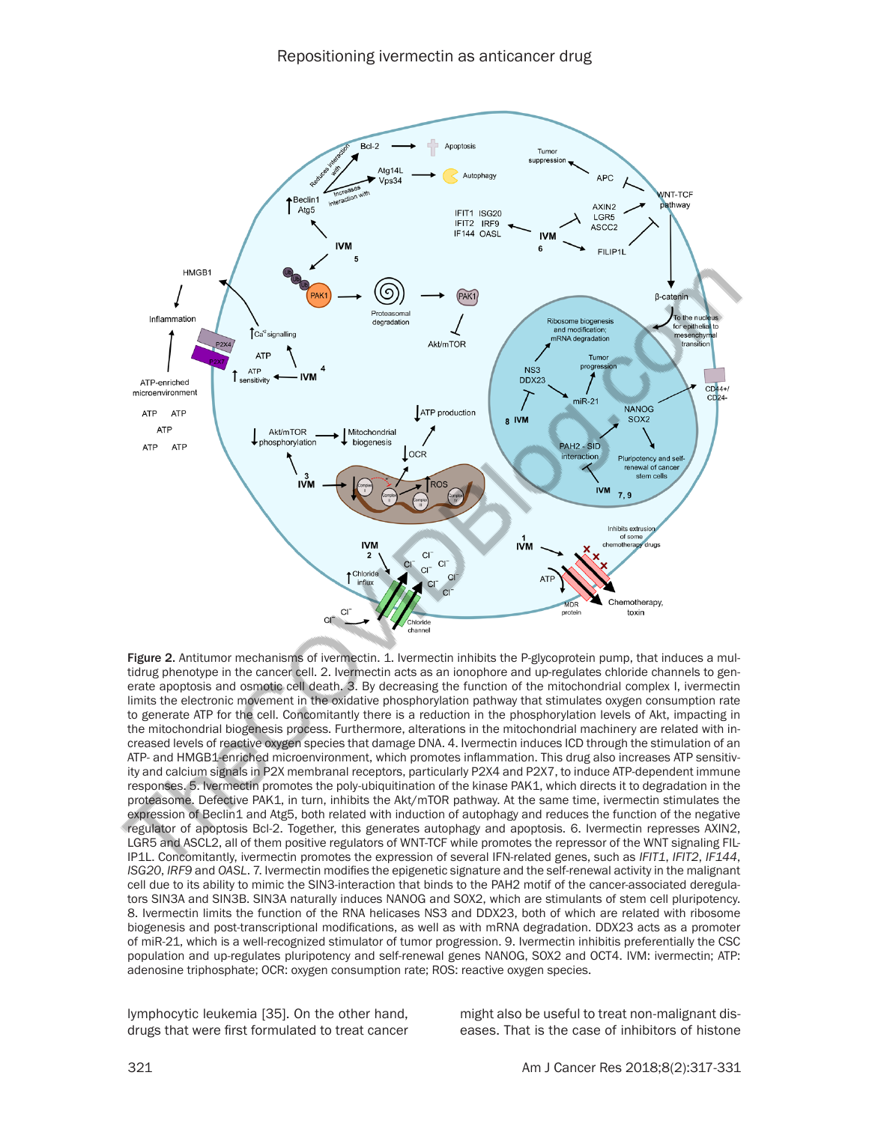

Figure 2. Antitumor mechanisms of ivermectin. 1. Ivermectin inhibits the P-glycoprotein pump, that induces a multidrug phenotype in the cancer cell. 2. Ivermectin acts as an ionophore and up-regulates chloride channels to generate apoptosis and osmotic cell death. 3. By decreasing the function of the mitochondrial complex I, ivermectin limits the electronic movement in the oxidative phosphorylation pathway that stimulates oxygen consumption rate to generate ATP for the cell. Concomitantly there is a reduction in the phosphorylation levels of Akt, impacting in the mitochondrial biogenesis process. Furthermore, alterations in the mitochondrial machinery are related with increased levels of reactive oxygen species that damage DNA. 4. Ivermectin induces ICD through the stimulation of an ATP- and HMGB1-enriched microenvironment, which promotes inflammation. This drug also increases ATP sensitivity and calcium signals in P2X membranal receptors, particularly P2X4 and P2X7, to induce ATP-dependent immune responses. 5. Ivermectin promotes the poly-ubiquitination of the kinase PAK1, which directs it to degradation in the proteasome. Defective PAK1, in turn, inhibits the Akt/mTOR pathway. At the same time, ivermectin stimulates the expression of Beclin1 and Atg5, both related with induction of autophagy and reduces the function of the negative regulator of apoptosis Bcl-2. Together, this generates autophagy and apoptosis. 6. Ivermectin represses AXIN2, LGR5 and ASCL2, all of them positive regulators of WNT-TCF while promotes the repressor of the WNT signaling FIL-IP1L. Concomitantly, ivermectin promotes the expression of several IFN-related genes, such as *IFIT1*, *IFIT2*, *IF144*, *ISG20*, *IRF9* and *OASL*. 7. Ivermectin modifies the epigenetic signature and the self-renewal activity in the malignant cell due to its ability to mimic the SIN3-interaction that binds to the PAH2 motif of the cancer-associated deregulators SIN3A and SIN3B. SIN3A naturally induces NANOG and SOX2, which are stimulants of stem cell pluripotency. 8. Ivermectin limits the function of the RNA helicases NS3 and DDX23, both of which are related with ribosome biogenesis and post-transcriptional modifications, as well as with mRNA degradation. DDX23 acts as a promoter of miR-21, which is a well-recognized stimulator of tumor progression. 9. Ivermectin inhibitis preferentially the CSC population and up-regulates pluripotency and self-renewal genes NANOG, SOX2 and OCT4. IVM: ivermectin; ATP: adenosine triphosphate; OCR: oxygen consumption rate; ROS: reactive oxygen species.

lymphocytic leukemia [35]. On the other hand, drugs that were first formulated to treat cancer might also be useful to treat non-malignant diseases. That is the case of inhibitors of histone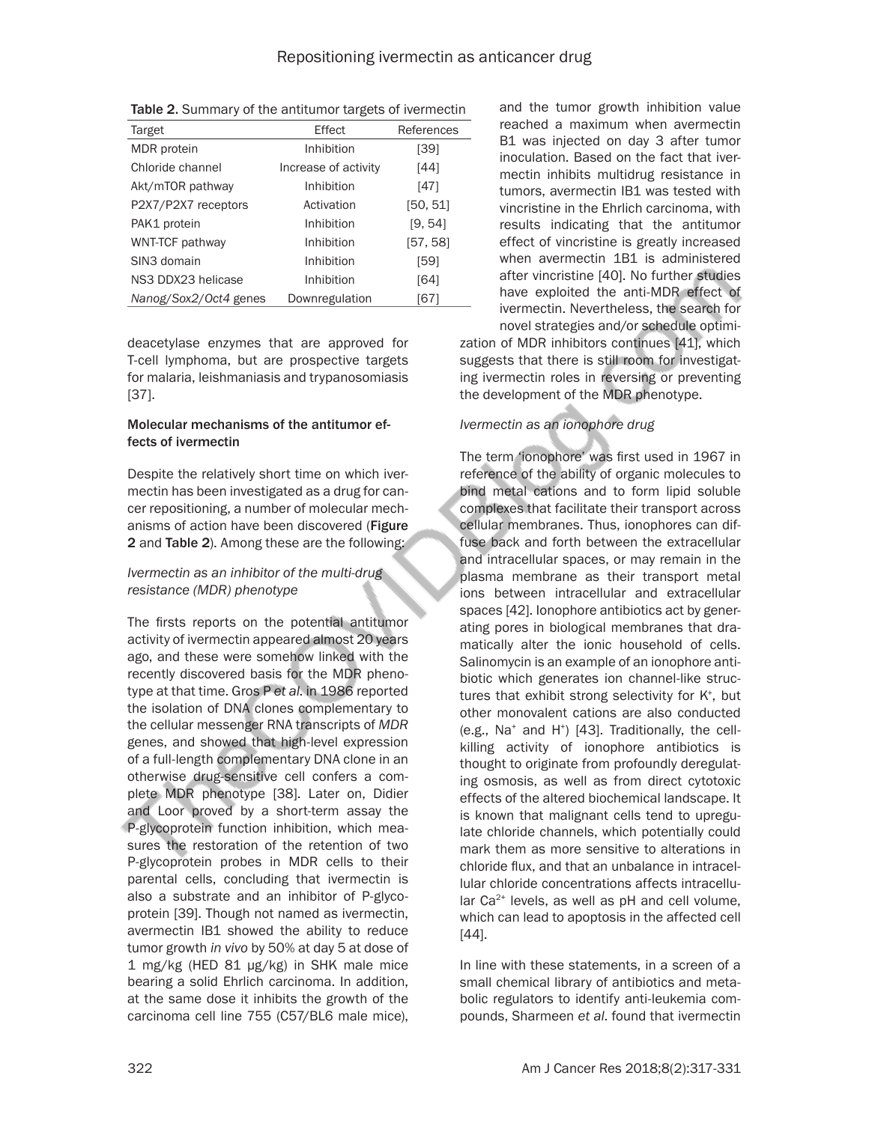| Target                | Effect               | References |
|-----------------------|----------------------|------------|
| MDR protein           | Inhibition           | [39]       |
| Chloride channel      | Increase of activity | [44]       |
| Akt/mTOR pathway      | Inhibition           | [47]       |
| P2X7/P2X7 receptors   | Activation           | [50, 51]   |
| PAK1 protein          | Inhibition           | [9, 54]    |
| WNT-TCF pathway       | Inhibition           | [57, 58]   |
| SIN3 domain           | Inhibition           | [59]       |
| NS3 DDX23 helicase    | Inhibition           | [64]       |
| Nanog/Sox2/Oct4 genes | Downregulation       | [67]       |

Table 2. Summary of the antitumor targets of ivermectin

deacetylase enzymes that are approved for T-cell lymphoma, but are prospective targets for malaria, leishmaniasis and trypanosomiasis [37].

#### Molecular mechanisms of the antitumor effects of ivermectin

Despite the relatively short time on which ivermectin has been investigated as a drug for cancer repositioning, a number of molecular mechanisms of action have been discovered (Figure 2 and Table 2). Among these are the following:

## *Ivermectin as an inhibitor of the multi-drug resistance (MDR) phenotype*

The firsts reports on the potential antitumor activity of ivermectin appeared almost 20 years ago, and these were somehow linked with the recently discovered basis for the MDR phenotype at that time. Gros P *et al*. in 1986 reported the isolation of DNA clones complementary to the cellular messenger RNA transcripts of *MDR*  genes, and showed that high-level expression of a full-length complementary DNA clone in an otherwise drug-sensitive cell confers a complete MDR phenotype [38]. Later on, Didier and Loor proved by a short-term assay the P-glycoprotein function inhibition, which measures the restoration of the retention of two P-glycoprotein probes in MDR cells to their parental cells, concluding that ivermectin is also a substrate and an inhibitor of P-glycoprotein [39]. Though not named as ivermectin, avermectin IB1 showed the ability to reduce tumor growth *in vivo* by 50% at day 5 at dose of 1 mg/kg (HED 81 μg/kg) in SHK male mice bearing a solid Ehrlich carcinoma. In addition, at the same dose it inhibits the growth of the carcinoma cell line 755 (C57/BL6 male mice),

and the tumor growth inhibition value reached a maximum when avermectin B1 was injected on day 3 after tumor inoculation. Based on the fact that ivermectin inhibits multidrug resistance in tumors, avermectin IB1 was tested with vincristine in the Ehrlich carcinoma, with results indicating that the antitumor effect of vincristine is greatly increased when avermectin 1B1 is administered after vincristine [40]. No further studies have exploited the anti-MDR effect of ivermectin. Nevertheless, the search for novel strategies and/or schedule optimi-

zation of MDR inhibitors continues [41], which suggests that there is still room for investigating ivermectin roles in reversing or preventing the development of the MDR phenotype.

## *Ivermectin as an ionophore drug*

The term 'ionophore' was first used in 1967 in reference of the ability of organic molecules to bind metal cations and to form lipid soluble complexes that facilitate their transport across cellular membranes. Thus, ionophores can diffuse back and forth between the extracellular and intracellular spaces, or may remain in the plasma membrane as their transport metal ions between intracellular and extracellular spaces [42]. Ionophore antibiotics act by generating pores in biological membranes that dramatically alter the ionic household of cells. Salinomycin is an example of an ionophore antibiotic which generates ion channel-like structures that exhibit strong selectivity for K<sup>+</sup> , but other monovalent cations are also conducted (e.g., Na+ and H+ ) [43]. Traditionally, the cellkilling activity of ionophore antibiotics is thought to originate from profoundly deregulating osmosis, as well as from direct cytotoxic effects of the altered biochemical landscape. It is known that malignant cells tend to upregulate chloride channels, which potentially could mark them as more sensitive to alterations in chloride flux, and that an unbalance in intracellular chloride concentrations affects intracellular  $Ca<sup>2+</sup>$  levels, as well as pH and cell volume, which can lead to apoptosis in the affected cell [44].

In line with these statements, in a screen of a small chemical library of antibiotics and metabolic regulators to identify anti-leukemia compounds, Sharmeen *et al*. found that ivermectin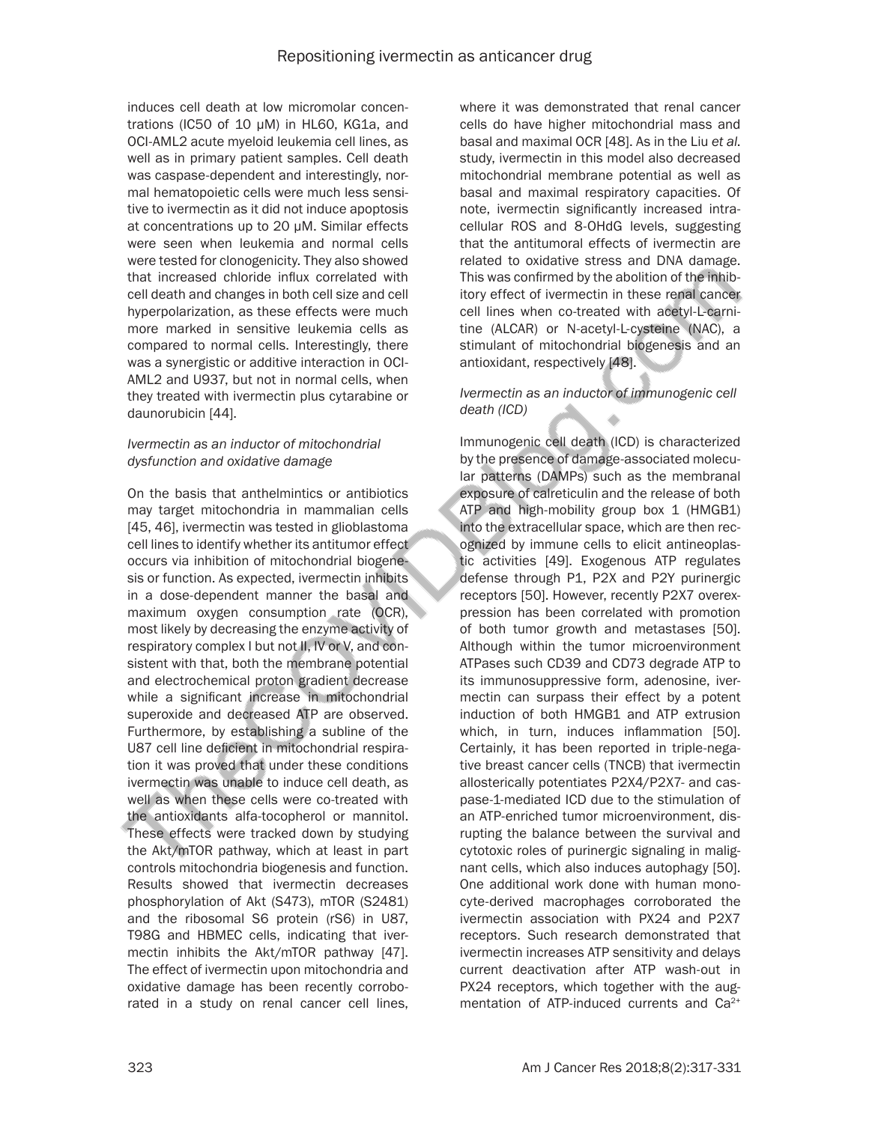induces cell death at low micromolar concentrations (IC50 of 10 μM) in HL60, KG1a, and OCI-AML2 acute myeloid leukemia cell lines, as well as in primary patient samples. Cell death was caspase-dependent and interestingly, normal hematopoietic cells were much less sensitive to ivermectin as it did not induce apoptosis at concentrations up to 20 μM. Similar effects were seen when leukemia and normal cells were tested for clonogenicity. They also showed that increased chloride influx correlated with cell death and changes in both cell size and cell hyperpolarization, as these effects were much more marked in sensitive leukemia cells as compared to normal cells. Interestingly, there was a synergistic or additive interaction in OCI-AML2 and U937, but not in normal cells, when they treated with ivermectin plus cytarabine or daunorubicin [44].

#### *Ivermectin as an inductor of mitochondrial dysfunction and oxidative damage*

On the basis that anthelmintics or antibiotics may target mitochondria in mammalian cells [45, 46], ivermectin was tested in glioblastoma cell lines to identify whether its antitumor effect occurs via inhibition of mitochondrial biogenesis or function. As expected, ivermectin inhibits in a dose-dependent manner the basal and maximum oxygen consumption rate (OCR), most likely by decreasing the enzyme activity of respiratory complex I but not II, IV or V, and consistent with that, both the membrane potential and electrochemical proton gradient decrease while a significant increase in mitochondrial superoxide and decreased ATP are observed. Furthermore, by establishing a subline of the U87 cell line deficient in mitochondrial respiration it was proved that under these conditions ivermectin was unable to induce cell death, as well as when these cells were co-treated with the antioxidants alfa-tocopherol or mannitol. These effects were tracked down by studying the Akt/mTOR pathway, which at least in part controls mitochondria biogenesis and function. Results showed that ivermectin decreases phosphorylation of Akt (S473), mTOR (S2481) and the ribosomal S6 protein (rS6) in U87, T98G and HBMEC cells, indicating that ivermectin inhibits the Akt/mTOR pathway [47]. The effect of ivermectin upon mitochondria and oxidative damage has been recently corroborated in a study on renal cancer cell lines,

where it was demonstrated that renal cancer cells do have higher mitochondrial mass and basal and maximal OCR [48]. As in the Liu *et al*. study, ivermectin in this model also decreased mitochondrial membrane potential as well as basal and maximal respiratory capacities. Of note, ivermectin significantly increased intracellular ROS and 8-OHdG levels, suggesting that the antitumoral effects of ivermectin are related to oxidative stress and DNA damage. This was confirmed by the abolition of the inhibitory effect of ivermectin in these renal cancer cell lines when co-treated with acetyl-L-carnitine (ALCAR) or N-acetyl-L-cysteine (NAC), a stimulant of mitochondrial biogenesis and an antioxidant, respectively [48].

#### *Ivermectin as an inductor of immunogenic cell death (ICD)*

Immunogenic cell death (ICD) is characterized by the presence of damage-associated molecular patterns (DAMPs) such as the membranal exposure of calreticulin and the release of both ATP and high-mobility group box 1 (HMGB1) into the extracellular space, which are then recognized by immune cells to elicit antineoplastic activities [49]. Exogenous ATP regulates defense through P1, P2X and P2Y purinergic receptors [50]. However, recently P2X7 overexpression has been correlated with promotion of both tumor growth and metastases [50]. Although within the tumor microenvironment ATPases such CD39 and CD73 degrade ATP to its immunosuppressive form, adenosine, ivermectin can surpass their effect by a potent induction of both HMGB1 and ATP extrusion which, in turn, induces inflammation [50]. Certainly, it has been reported in triple-negative breast cancer cells (TNCB) that ivermectin allosterically potentiates P2X4/P2X7- and caspase-1-mediated ICD due to the stimulation of an ATP-enriched tumor microenvironment, disrupting the balance between the survival and cytotoxic roles of purinergic signaling in malignant cells, which also induces autophagy [50]. One additional work done with human monocyte-derived macrophages corroborated the ivermectin association with PX24 and P2X7 receptors. Such research demonstrated that ivermectin increases ATP sensitivity and delays current deactivation after ATP wash-out in PX24 receptors, which together with the augmentation of ATP-induced currents and Ca<sup>2+</sup>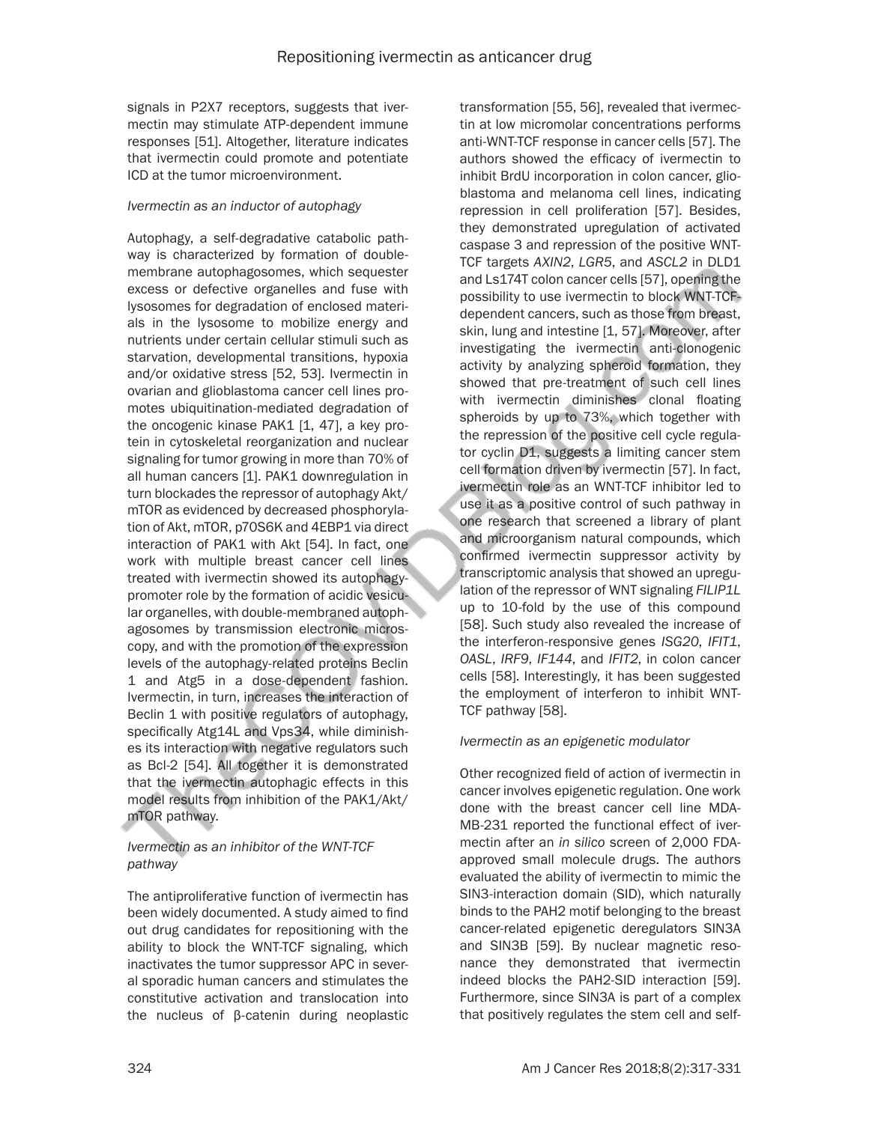signals in P2X7 receptors, suggests that ivermectin may stimulate ATP-dependent immune responses [51]. Altogether, literature indicates that ivermectin could promote and potentiate ICD at the tumor microenvironment.

#### *Ivermectin as an inductor of autophagy*

Autophagy, a self-degradative catabolic pathway is characterized by formation of doublemembrane autophagosomes, which sequester excess or defective organelles and fuse with lysosomes for degradation of enclosed materials in the lysosome to mobilize energy and nutrients under certain cellular stimuli such as starvation, developmental transitions, hypoxia and/or oxidative stress [52, 53]. Ivermectin in ovarian and glioblastoma cancer cell lines promotes ubiquitination-mediated degradation of the oncogenic kinase PAK1 [1, 47], a key protein in cytoskeletal reorganization and nuclear signaling for tumor growing in more than 70% of all human cancers [1]. PAK1 downregulation in turn blockades the repressor of autophagy Akt/ mTOR as evidenced by decreased phosphorylation of Akt, mTOR, p70S6K and 4EBP1 via direct interaction of PAK1 with Akt [54]. In fact, one work with multiple breast cancer cell lines treated with ivermectin showed its autophagypromoter role by the formation of acidic vesicular organelles, with double-membraned autophagosomes by transmission electronic microscopy, and with the promotion of the expression levels of the autophagy-related proteins Beclin 1 and Atg5 in a dose-dependent fashion. Ivermectin, in turn, increases the interaction of Beclin 1 with positive regulators of autophagy, specifically Atg14L and Vps34, while diminishes its interaction with negative regulators such as Bcl-2 [54]. All together it is demonstrated that the ivermectin autophagic effects in this model results from inhibition of the PAK1/Akt/ mTOR pathway.

#### *Ivermectin as an inhibitor of the WNT-TCF pathway*

The antiproliferative function of ivermectin has been widely documented. A study aimed to find out drug candidates for repositioning with the ability to block the WNT-TCF signaling, which inactivates the tumor suppressor APC in several sporadic human cancers and stimulates the constitutive activation and translocation into the nucleus of β-catenin during neoplastic

transformation [55, 56], revealed that ivermectin at low micromolar concentrations performs anti-WNT-TCF response in cancer cells [57]. The authors showed the efficacy of ivermectin to inhibit BrdU incorporation in colon cancer, glioblastoma and melanoma cell lines, indicating repression in cell proliferation [57]. Besides, they demonstrated upregulation of activated caspase 3 and repression of the positive WNT-TCF targets *AXIN2*, *LGR5*, and *ASCL2* in DLD1 and Ls174T colon cancer cells [57], opening the possibility to use ivermectin to block WNT-TCFdependent cancers, such as those from breast, skin, lung and intestine [1, 57]. Moreover, after investigating the ivermectin anti-clonogenic activity by analyzing spheroid formation, they showed that pre-treatment of such cell lines with ivermectin diminishes clonal floating spheroids by up to 73%, which together with the repression of the positive cell cycle regulator cyclin D1, suggests a limiting cancer stem cell formation driven by ivermectin [57]. In fact, ivermectin role as an WNT-TCF inhibitor led to use it as a positive control of such pathway in one research that screened a library of plant and microorganism natural compounds, which confirmed ivermectin suppressor activity by transcriptomic analysis that showed an upregulation of the repressor of WNT signaling *FILIP1L* up to 10-fold by the use of this compound [58]. Such study also revealed the increase of the interferon-responsive genes *ISG20*, *IFIT1*, *OASL*, *IRF9*, *IF144*, and *IFIT2*, in colon cancer cells [58]. Interestingly, it has been suggested the employment of interferon to inhibit WNT-TCF pathway [58].

#### *Ivermectin as an epigenetic modulator*

Other recognized field of action of ivermectin in cancer involves epigenetic regulation. One work done with the breast cancer cell line MDA-MB-231 reported the functional effect of ivermectin after an *in silico* screen of 2,000 FDAapproved small molecule drugs. The authors evaluated the ability of ivermectin to mimic the SIN3-interaction domain (SID), which naturally binds to the PAH2 motif belonging to the breast cancer-related epigenetic deregulators SIN3A and SIN3B [59]. By nuclear magnetic resonance they demonstrated that ivermectin indeed blocks the PAH2-SID interaction [59]. Furthermore, since SIN3A is part of a complex that positively regulates the stem cell and self-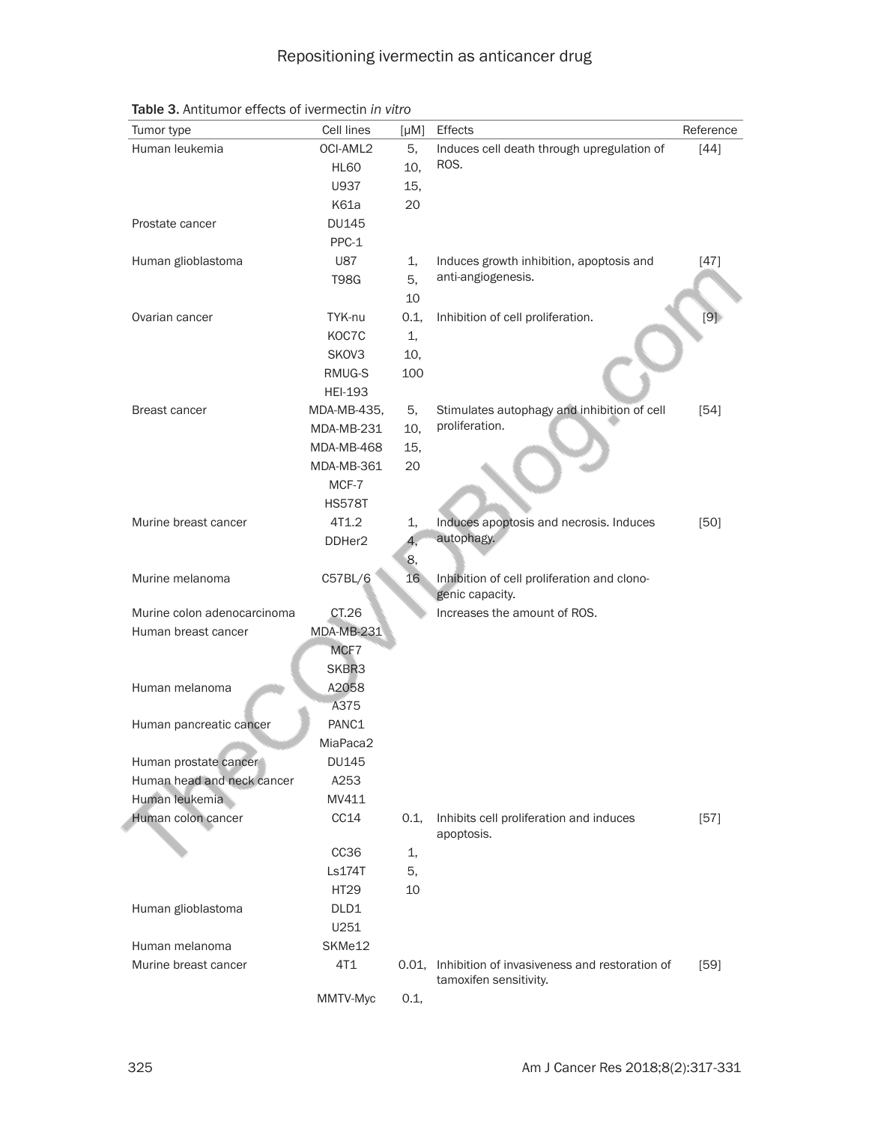| Tumor type                  | Cell lines     | $[\mu M]$ | <b>Effects</b>                                        | Reference |
|-----------------------------|----------------|-----------|-------------------------------------------------------|-----------|
| Human leukemia              | OCI-AML2       | 5,        | Induces cell death through upregulation of            | $[44]$    |
|                             | <b>HL60</b>    | 10,       | ROS.                                                  |           |
|                             | U937           | 15,       |                                                       |           |
|                             | K61a           | 20        |                                                       |           |
| Prostate cancer             | <b>DU145</b>   |           |                                                       |           |
|                             | PPC-1          |           |                                                       |           |
| Human glioblastoma          | <b>U87</b>     | 1.        | Induces growth inhibition, apoptosis and              | $[47]$    |
|                             | <b>T98G</b>    | 5,        | anti-angiogenesis.                                    |           |
|                             |                | 10        |                                                       |           |
| Ovarian cancer              | TYK-nu         | 0.1,      | Inhibition of cell proliferation.                     | [9]       |
|                             | KOC7C          | 1,        |                                                       |           |
|                             | SKOV3          | 10,       |                                                       |           |
|                             | RMUG-S         | 100       |                                                       |           |
|                             | <b>HEI-193</b> |           |                                                       |           |
| <b>Breast cancer</b>        | MDA-MB-435,    | 5,        | Stimulates autophagy and inhibition of cell           | $[54]$    |
|                             | MDA-MB-231     | 10.       | proliferation.                                        |           |
|                             | MDA-MB-468     | 15,       |                                                       |           |
|                             | MDA-MB-361     | 20        |                                                       |           |
|                             | MCF-7          |           |                                                       |           |
|                             | <b>HS578T</b>  |           |                                                       |           |
| Murine breast cancer        | 4T1.2          | 1,        | Induces apoptosis and necrosis. Induces               | $[50]$    |
|                             | DDHer2         | 4.        | autophagy.                                            |           |
|                             |                | 8,        |                                                       |           |
| Murine melanoma             | C57BL/6        | 16        | Inhibition of cell proliferation and clono-           |           |
|                             |                |           | genic capacity.                                       |           |
| Murine colon adenocarcinoma | CT.26          |           | Increases the amount of ROS.                          |           |
| Human breast cancer         | MDA-MB-231     |           |                                                       |           |
|                             | MCF7           |           |                                                       |           |
|                             | SKBR3          |           |                                                       |           |
| Human melanoma              | A2058          |           |                                                       |           |
|                             | A375           |           |                                                       |           |
| Human pancreatic cancer     | PANC1          |           |                                                       |           |
|                             | MiaPaca2       |           |                                                       |           |
| Human prostate cancer       | <b>DU145</b>   |           |                                                       |           |
| Human head and neck cancer  | A253           |           |                                                       |           |
| Human leukemia              | MV411          |           |                                                       |           |
| Human colon cancer          | CC14           | 0.1,      | Inhibits cell proliferation and induces<br>apoptosis. | $[57]$    |
|                             | CC36           | 1,        |                                                       |           |
|                             | Ls174T         | 5,        |                                                       |           |
|                             | HT29           | 10        |                                                       |           |
| Human glioblastoma          | DLD1           |           |                                                       |           |
|                             | U251           |           |                                                       |           |
| Human melanoma              | SKMe12         |           |                                                       |           |
| Murine breast cancer        | 4T1            | 0.01,     | Inhibition of invasiveness and restoration of         | $[59]$    |
|                             |                |           | tamoxifen sensitivity.                                |           |
|                             | MMTV-Myc       | 0.1,      |                                                       |           |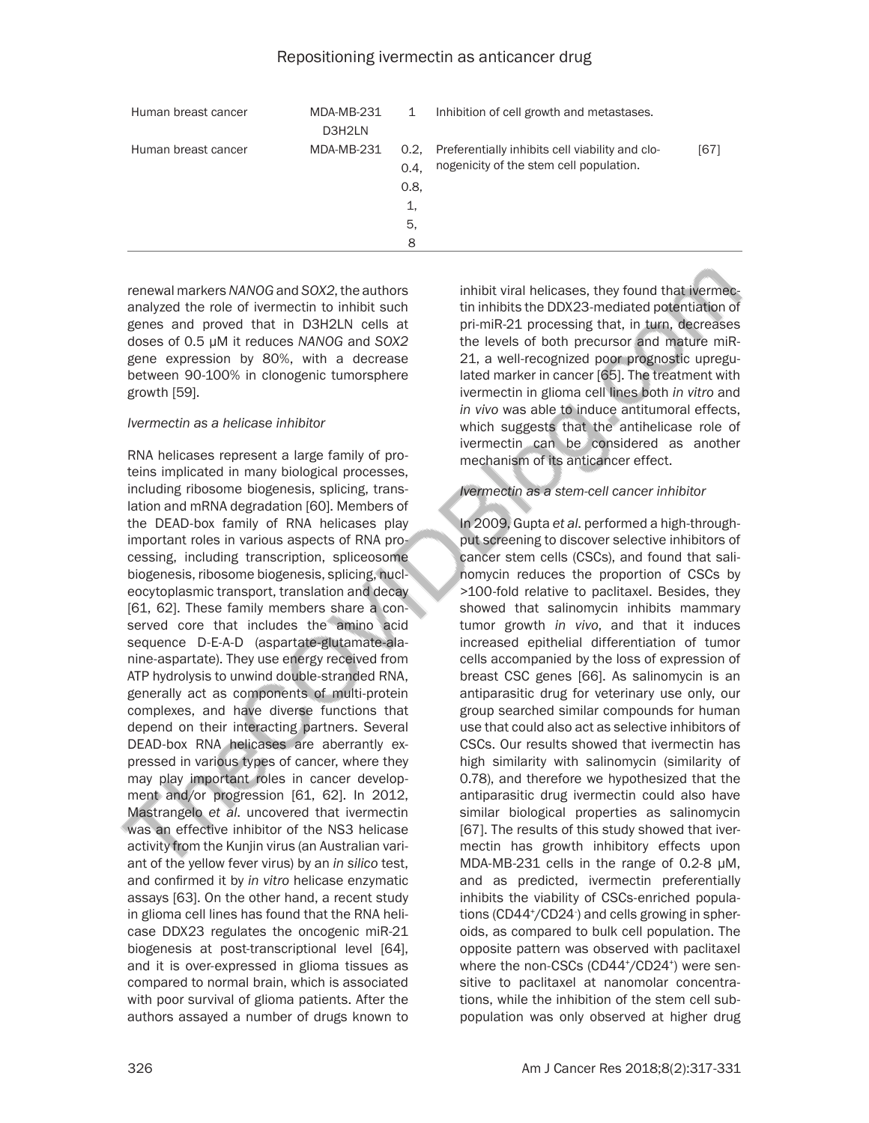| Human breast cancer | MDA-MB-231<br>D3H2LN | 1                             | Inhibition of cell growth and metastases.                                                       |      |
|---------------------|----------------------|-------------------------------|-------------------------------------------------------------------------------------------------|------|
| Human breast cancer | MDA-MB-231           | 0.4.<br>0.8,<br>1,<br>5.<br>8 | 0.2, Preferentially inhibits cell viability and clo-<br>nogenicity of the stem cell population. | [67] |

renewal markers *NANOG* and *SOX2*, the authors analyzed the role of ivermectin to inhibit such genes and proved that in D3H2LN cells at doses of 0.5 µM it reduces *NANOG* and *SOX2* gene expression by 80%, with a decrease between 90-100% in clonogenic tumorsphere growth [59].

#### *Ivermectin as a helicase inhibitor*

RNA helicases represent a large family of proteins implicated in many biological processes, including ribosome biogenesis, splicing, translation and mRNA degradation [60]. Members of the DEAD-box family of RNA helicases play important roles in various aspects of RNA processing, including transcription, spliceosome biogenesis, ribosome biogenesis, splicing, nucleocytoplasmic transport, translation and decay [61, 62]. These family members share a conserved core that includes the amino acid sequence D-E-A-D (aspartate-glutamate-alanine-aspartate). They use energy received from ATP hydrolysis to unwind double-stranded RNA, generally act as components of multi-protein complexes, and have diverse functions that depend on their interacting partners. Several DEAD-box RNA helicases are aberrantly expressed in various types of cancer, where they may play important roles in cancer development and/or progression [61, 62]. In 2012, Mastrangelo *et al*. uncovered that ivermectin was an effective inhibitor of the NS3 helicase activity from the Kunjin virus (an Australian variant of the yellow fever virus) by an *in silico* test, and confirmed it by *in vitro* helicase enzymatic assays [63]. On the other hand, a recent study in glioma cell lines has found that the RNA helicase DDX23 regulates the oncogenic miR-21 biogenesis at post-transcriptional level [64], and it is over-expressed in glioma tissues as compared to normal brain, which is associated with poor survival of glioma patients. After the authors assayed a number of drugs known to

inhibit viral helicases, they found that ivermectin inhibits the DDX23-mediated potentiation of pri-miR-21 processing that, in turn, decreases the levels of both precursor and mature miR-21, a well-recognized poor prognostic upregulated marker in cancer [65]. The treatment with ivermectin in glioma cell lines both *in vitro* and *in vivo* was able to induce antitumoral effects, which suggests that the antihelicase role of ivermectin can be considered as another mechanism of its anticancer effect.

#### *Ivermectin as a stem-cell cancer inhibitor*

In 2009, Gupta *et al*. performed a high-throughput screening to discover selective inhibitors of cancer stem cells (CSCs), and found that salinomycin reduces the proportion of CSCs by >100-fold relative to paclitaxel. Besides, they showed that salinomycin inhibits mammary tumor growth *in vivo*, and that it induces increased epithelial differentiation of tumor cells accompanied by the loss of expression of breast CSC genes [66]. As salinomycin is an antiparasitic drug for veterinary use only, our group searched similar compounds for human use that could also act as selective inhibitors of CSCs. Our results showed that ivermectin has high similarity with salinomycin (similarity of 0.78), and therefore we hypothesized that the antiparasitic drug ivermectin could also have similar biological properties as salinomycin [67]. The results of this study showed that ivermectin has growth inhibitory effects upon MDA-MB-231 cells in the range of 0.2-8 µM, and as predicted, ivermectin preferentially inhibits the viability of CSCs-enriched populations (CD44+ /CD24- ) and cells growing in spheroids, as compared to bulk cell population. The opposite pattern was observed with paclitaxel where the non-CSCs (CD44+ /CD24+ ) were sensitive to paclitaxel at nanomolar concentrations, while the inhibition of the stem cell subpopulation was only observed at higher drug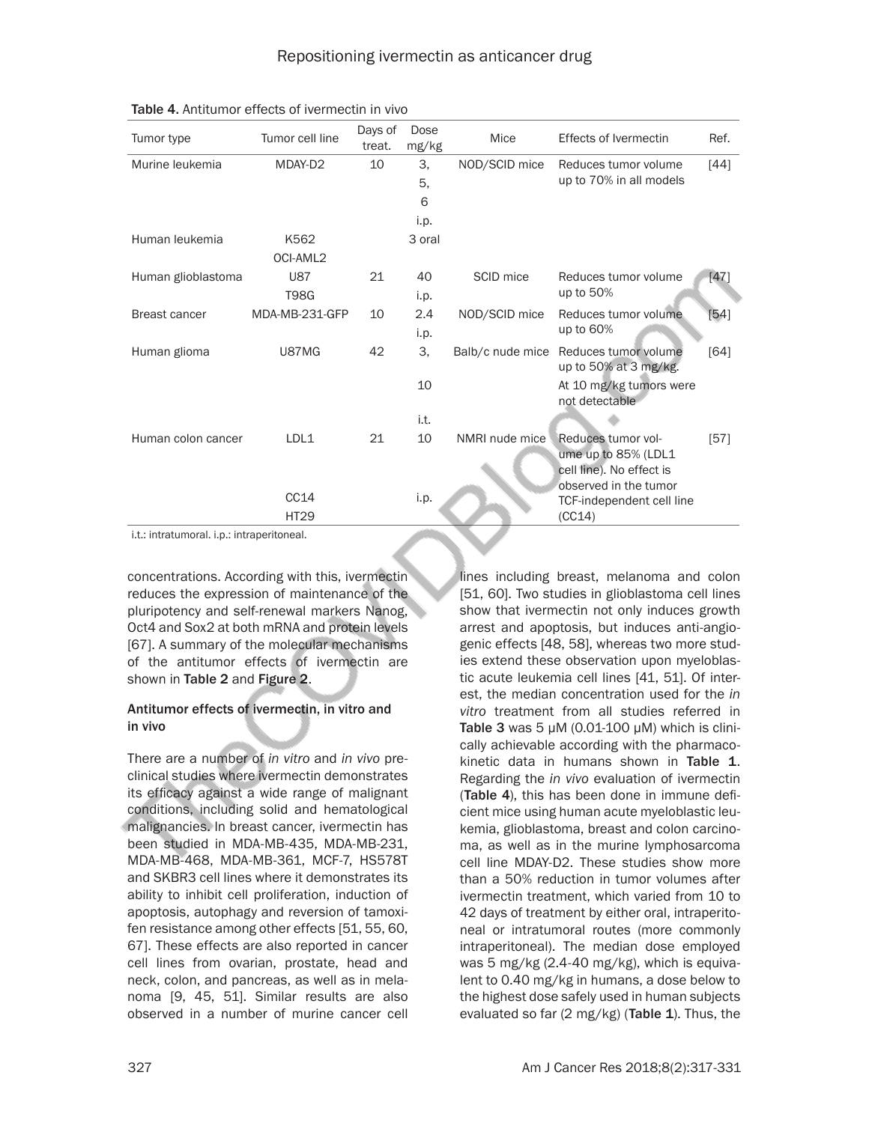| Tumor type         | Tumor cell line | Days of<br>treat. | Dose<br>mg/kg | Mice             | <b>Effects of Ivermectin</b>                                                                   | Ref.   |
|--------------------|-----------------|-------------------|---------------|------------------|------------------------------------------------------------------------------------------------|--------|
| Murine leukemia    | MDAY-D2         | 10                | 3,            | NOD/SCID mice    | Reduces tumor volume                                                                           | $[44]$ |
|                    |                 |                   | 5,            |                  | up to 70% in all models                                                                        |        |
|                    |                 |                   | 6             |                  |                                                                                                |        |
|                    |                 |                   | i.p.          |                  |                                                                                                |        |
| Human leukemia     | K562            |                   | 3 oral        |                  |                                                                                                |        |
|                    | OCI-AML2        |                   |               |                  |                                                                                                |        |
| Human glioblastoma | <b>U87</b>      | 21                | 40            | SCID mice        | Reduces tumor volume                                                                           | [47]   |
|                    | <b>T98G</b>     |                   | i.p.          |                  | up to 50%                                                                                      |        |
| Breast cancer      | MDA-MB-231-GFP  | 10                | 2.4           | NOD/SCID mice    | Reduces tumor volume                                                                           | $[54]$ |
|                    |                 |                   | i.p.          |                  | up to 60%                                                                                      |        |
| Human glioma       | U87MG           | 42                | 3.            | Balb/c nude mice | Reduces tumor volume<br>up to 50% at 3 mg/kg.                                                  | [64]   |
|                    |                 |                   | 10            |                  | At 10 mg/kg tumors were<br>not detectable                                                      |        |
|                    |                 |                   | i.t.          |                  |                                                                                                |        |
| Human colon cancer | LDL1            | 21                | 10            | NMRI nude mice   | Reduces tumor vol-<br>ume up to 85% (LDL1<br>cell line). No effect is<br>observed in the tumor | [57]   |
|                    | CC14            |                   | i.p.          |                  | TCF-independent cell line                                                                      |        |
|                    | <b>HT29</b>     |                   |               |                  | (CC14)                                                                                         |        |

i.t.: intratumoral. i.p.: intraperitoneal.

concentrations. According with this, ivermectin reduces the expression of maintenance of the pluripotency and self-renewal markers Nanog, Oct4 and Sox2 at both mRNA and protein levels [67]. A summary of the molecular mechanisms of the antitumor effects of ivermectin are shown in Table 2 and Figure 2.

#### Antitumor effects of ivermectin, in vitro and in vivo

There are a number of *in vitro* and *in vivo* preclinical studies where ivermectin demonstrates its efficacy against a wide range of malignant conditions, including solid and hematological malignancies. In breast cancer, ivermectin has been studied in MDA-MB-435, MDA-MB-231, MDA-MB-468, MDA-MB-361, MCF-7, HS578T and SKBR3 cell lines where it demonstrates its ability to inhibit cell proliferation, induction of apoptosis, autophagy and reversion of tamoxifen resistance among other effects [51, 55, 60, 67]. These effects are also reported in cancer cell lines from ovarian, prostate, head and neck, colon, and pancreas, as well as in melanoma [9, 45, 51]. Similar results are also observed in a number of murine cancer cell lines including breast, melanoma and colon [51, 60]. Two studies in glioblastoma cell lines show that ivermectin not only induces growth arrest and apoptosis, but induces anti-angiogenic effects [48, 58], whereas two more studies extend these observation upon myeloblastic acute leukemia cell lines [41, 51]. Of interest, the median concentration used for the *in vitro* treatment from all studies referred in Table 3 was 5  $\mu$ M (0.01-100  $\mu$ M) which is clinically achievable according with the pharmacokinetic data in humans shown in Table 1. Regarding the *in vivo* evaluation of ivermectin (Table 4), this has been done in immune deficient mice using human acute myeloblastic leukemia, glioblastoma, breast and colon carcinoma, as well as in the murine lymphosarcoma cell line MDAY-D2. These studies show more than a 50% reduction in tumor volumes after ivermectin treatment, which varied from 10 to 42 days of treatment by either oral, intraperitoneal or intratumoral routes (more commonly intraperitoneal). The median dose employed was 5 mg/kg (2.4-40 mg/kg), which is equivalent to 0.40 mg/kg in humans, a dose below to the highest dose safely used in human subjects evaluated so far  $(2 \text{ mg/kg})$  (Table 1). Thus, the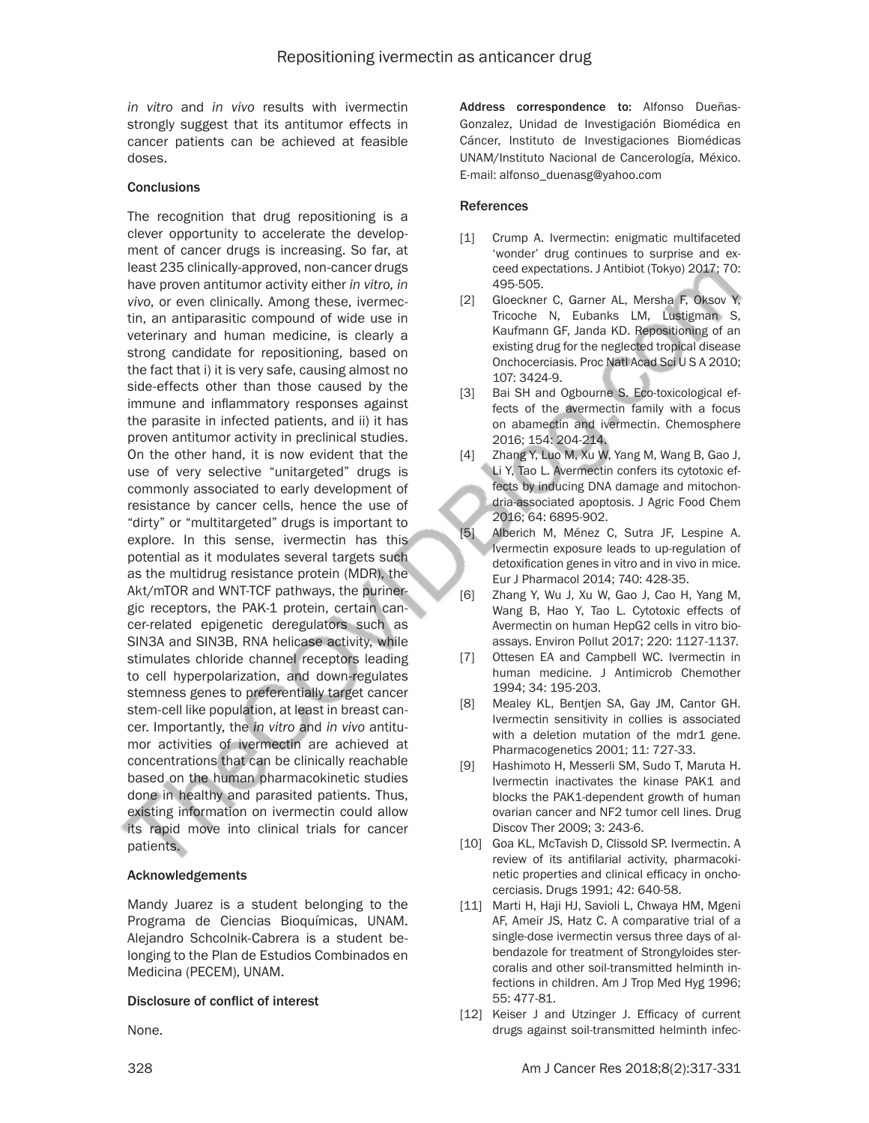*in vitro* and *in vivo* results with ivermectin strongly suggest that its antitumor effects in cancer patients can be achieved at feasible doses.

#### **Conclusions**

The recognition that drug repositioning is a clever opportunity to accelerate the development of cancer drugs is increasing. So far, at least 235 clinically-approved, non-cancer drugs have proven antitumor activity either *in vitro, in vivo*, or even clinically. Among these, ivermectin, an antiparasitic compound of wide use in veterinary and human medicine, is clearly a strong candidate for repositioning, based on the fact that i) it is very safe, causing almost no side-effects other than those caused by the immune and inflammatory responses against the parasite in infected patients, and ii) it has proven antitumor activity in preclinical studies. On the other hand, it is now evident that the use of very selective "unitargeted" drugs is commonly associated to early development of resistance by cancer cells, hence the use of "dirty" or "multitargeted" drugs is important to explore. In this sense, ivermectin has this potential as it modulates several targets such as the multidrug resistance protein (MDR), the Akt/mTOR and WNT-TCF pathways, the purinergic receptors, the PAK-1 protein, certain cancer-related epigenetic deregulators such as SIN3A and SIN3B, RNA helicase activity, while stimulates chloride channel receptors leading to cell hyperpolarization, and down-regulates stemness genes to preferentially target cancer stem-cell like population, at least in breast cancer. Importantly, the *in vitro* and *in vivo* antitumor activities of ivermectin are achieved at concentrations that can be clinically reachable based on the human pharmacokinetic studies done in healthy and parasited patients. Thus, existing information on ivermectin could allow its rapid move into clinical trials for cancer patients.

#### Acknowledgements

Mandy Juarez is a student belonging to the Programa de Ciencias Bioquímicas, UNAM. Alejandro Schcolnik-Cabrera is a student belonging to the Plan de Estudios Combinados en Medicina (PECEM), UNAM.

#### Disclosure of conflict of interest

None.

Address correspondence to: Alfonso Dueñas-Gonzalez, Unidad de Investigación Biomédica en Cáncer, Instituto de Investigaciones Biomédicas UNAM/Instituto Nacional de Cancerología, México. E-mail: [alfonso\\_duenasg@yahoo.com](mailto:alfonso_duenasg@yahoo.com)

#### References

- [1] Crump A. Ivermectin: enigmatic multifaceted 'wonder' drug continues to surprise and exceed expectations. J Antibiot (Tokyo) 2017; 70: 495-505.
- [2] Gloeckner C, Garner AL, Mersha F, Oksov Y, Tricoche N, Eubanks LM, Lustigman S, Kaufmann GF, Janda KD. Repositioning of an existing drug for the neglected tropical disease Onchocerciasis. Proc Natl Acad Sci U S A 2010; 107: 3424-9.
- [3] Bai SH and Ogbourne S. Eco-toxicological effects of the avermectin family with a focus on abamectin and ivermectin. Chemosphere 2016; 154: 204-214.
- [4] Zhang Y, Luo M, Xu W, Yang M, Wang B, Gao J, Li Y, Tao L. Avermectin confers its cytotoxic effects by inducing DNA damage and mitochondria-associated apoptosis. J Agric Food Chem 2016; 64: 6895-902.
- [5] Alberich M, Ménez C, Sutra JF, Lespine A. Ivermectin exposure leads to up-regulation of detoxification genes in vitro and in vivo in mice. Eur J Pharmacol 2014; 740: 428-35.
- [6] Zhang Y, Wu J, Xu W, Gao J, Cao H, Yang M, Wang B, Hao Y, Tao L. Cytotoxic effects of Avermectin on human HepG2 cells in vitro bioassays. Environ Pollut 2017; 220: 1127-1137.
- [7] Ottesen EA and Campbell WC. Ivermectin in human medicine. J Antimicrob Chemother 1994; 34: 195-203.
- [8] Mealey KL, Bentjen SA, Gay JM, Cantor GH. Ivermectin sensitivity in collies is associated with a deletion mutation of the mdr1 gene. Pharmacogenetics 2001; 11: 727-33.
- [9] Hashimoto H, Messerli SM, Sudo T, Maruta H. Ivermectin inactivates the kinase PAK1 and blocks the PAK1-dependent growth of human ovarian cancer and NF2 tumor cell lines. Drug Discov Ther 2009; 3: 243-6.
- [10] Goa KL, McTavish D, Clissold SP. Ivermectin. A review of its antifilarial activity, pharmacokinetic properties and clinical efficacy in onchocerciasis. Drugs 1991; 42: 640-58.
- [11] Marti H, Haji HJ, Savioli L, Chwaya HM, Mgeni AF, Ameir JS, Hatz C. A comparative trial of a single-dose ivermectin versus three days of albendazole for treatment of Strongyloides stercoralis and other soil-transmitted helminth infections in children. Am J Trop Med Hyg 1996; 55: 477-81.
- [12] Keiser J and Utzinger J. Efficacy of current drugs against soil-transmitted helminth infec-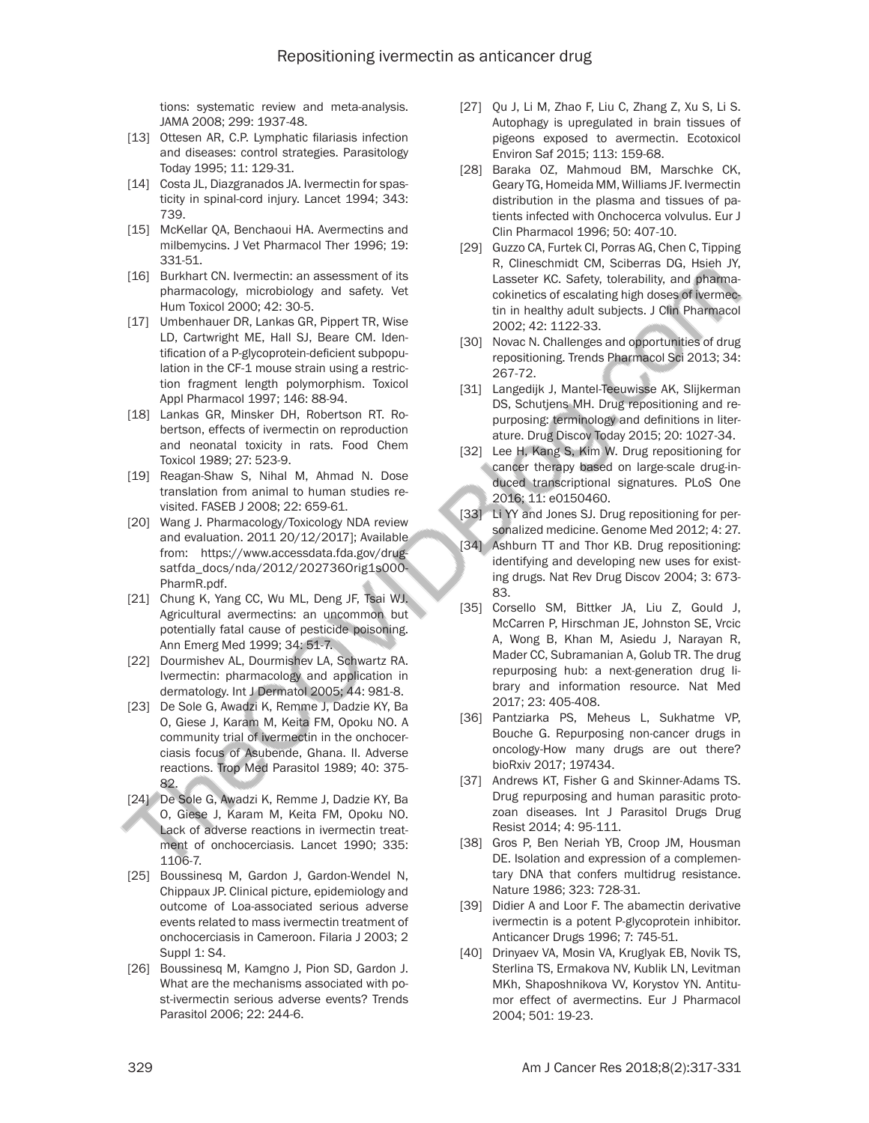tions: systematic review and meta-analysis. JAMA 2008; 299: 1937-48.

- [13] Ottesen AR, C.P. Lymphatic filariasis infection and diseases: control strategies. Parasitology Today 1995; 11: 129-31.
- [14] Costa JL, Diazgranados JA. Ivermectin for spasticity in spinal-cord injury. Lancet 1994; 343: 739.
- [15] McKellar QA, Benchaoui HA. Avermectins and milbemycins. J Vet Pharmacol Ther 1996; 19: 331-51.
- [16] Burkhart CN. Ivermectin: an assessment of its pharmacology, microbiology and safety. Vet Hum Toxicol 2000; 42: 30-5.
- [17] Umbenhauer DR, Lankas GR, Pippert TR, Wise LD, Cartwright ME, Hall SJ, Beare CM. Identification of a P-glycoprotein-deficient subpopulation in the CF-1 mouse strain using a restriction fragment length polymorphism. Toxicol Appl Pharmacol 1997; 146: 88-94.
- [18] Lankas GR, Minsker DH, Robertson RT. Robertson, effects of ivermectin on reproduction and neonatal toxicity in rats. Food Chem Toxicol 1989; 27: 523-9.
- [19] Reagan-Shaw S, Nihal M, Ahmad N. Dose translation from animal to human studies revisited. FASEB J 2008; 22: 659-61.
- [20] Wang J. Pharmacology/Toxicology NDA review and evaluation. 2011 20/12/2017]; Available from: https://www.accessdata.fda.gov/drugsatfda\_docs/nda/2012/202736Orig1s000- PharmR.pdf.
- [21] Chung K, Yang CC, Wu ML, Deng JF, Tsai WJ. Agricultural avermectins: an uncommon but potentially fatal cause of pesticide poisoning. Ann Emerg Med 1999; 34: 51-7.
- [22] Dourmishev AL, Dourmishev LA, Schwartz RA. Ivermectin: pharmacology and application in dermatology. Int J Dermatol 2005; 44: 981-8.
- [23] De Sole G, Awadzi K, Remme J, Dadzie KY, Ba O, Giese J, Karam M, Keita FM, Opoku NO. A community trial of ivermectin in the onchocerciasis focus of Asubende, Ghana. II. Adverse reactions. Trop Med Parasitol 1989; 40: 375- 82.
- [24] De Sole G, Awadzi K, Remme J, Dadzie KY, Ba O, Giese J, Karam M, Keita FM, Opoku NO. Lack of adverse reactions in ivermectin treatment of onchocerciasis. Lancet 1990; 335: 1106-7.
- [25] Boussinesq M, Gardon J, Gardon-Wendel N, Chippaux JP. Clinical picture, epidemiology and outcome of Loa-associated serious adverse events related to mass ivermectin treatment of onchocerciasis in Cameroon. Filaria J 2003; 2 Suppl 1: S4.
- [26] Boussinesq M, Kamgno J, Pion SD, Gardon J. What are the mechanisms associated with post-ivermectin serious adverse events? Trends Parasitol 2006; 22: 244-6.
- [27] Qu J, Li M, Zhao F, Liu C, Zhang Z, Xu S, Li S. Autophagy is upregulated in brain tissues of pigeons exposed to avermectin. Ecotoxicol Environ Saf 2015; 113: 159-68.
- [28] Baraka OZ, Mahmoud BM, Marschke CK, Geary TG, Homeida MM, Williams JF. Ivermectin distribution in the plasma and tissues of patients infected with Onchocerca volvulus. Eur J Clin Pharmacol 1996; 50: 407-10.
- [29] Guzzo CA, Furtek CI, Porras AG, Chen C, Tipping R, Clineschmidt CM, Sciberras DG, Hsieh JY, Lasseter KC. Safety, tolerability, and pharmacokinetics of escalating high doses of ivermectin in healthy adult subjects. J Clin Pharmacol 2002; 42: 1122-33.
- [30] Novac N. Challenges and opportunities of drug repositioning. Trends Pharmacol Sci 2013; 34: 267-72.
- [31] Langedijk J, Mantel-Teeuwisse AK, Slijkerman DS, Schutjens MH. Drug repositioning and repurposing: terminology and definitions in literature. Drug Discov Today 2015; 20: 1027-34.
- [32] Lee H, Kang S, Kim W. Drug repositioning for cancer therapy based on large-scale drug-induced transcriptional signatures. PLoS One 2016; 11: e0150460.
- [33] Li YY and Jones SJ. Drug repositioning for personalized medicine. Genome Med 2012; 4: 27.
- [34] Ashburn TT and Thor KB. Drug repositioning: identifying and developing new uses for existing drugs. Nat Rev Drug Discov 2004; 3: 673- 83.
- [35] Corsello SM, Bittker JA, Liu Z, Gould J, McCarren P, Hirschman JE, Johnston SE, Vrcic A, Wong B, Khan M, Asiedu J, Narayan R, Mader CC, Subramanian A, Golub TR. The drug repurposing hub: a next-generation drug library and information resource. Nat Med 2017; 23: 405-408.
- [36] Pantziarka PS, Meheus L, Sukhatme VP, Bouche G. Repurposing non-cancer drugs in oncology-How many drugs are out there? bioRxiv 2017; 197434.
- [37] Andrews KT, Fisher G and Skinner-Adams TS. Drug repurposing and human parasitic protozoan diseases. Int J Parasitol Drugs Drug Resist 2014; 4: 95-111.
- [38] Gros P, Ben Neriah YB, Croop JM, Housman DE. Isolation and expression of a complementary DNA that confers multidrug resistance. Nature 1986; 323: 728-31.
- [39] Didier A and Loor F. The abamectin derivative ivermectin is a potent P-glycoprotein inhibitor. Anticancer Drugs 1996; 7: 745-51.
- [40] Drinyaev VA, Mosin VA, Kruglyak EB, Novik TS, Sterlina TS, Ermakova NV, Kublik LN, Levitman MKh, Shaposhnikova VV, Korystov YN. Antitumor effect of avermectins. Eur J Pharmacol 2004; 501: 19-23.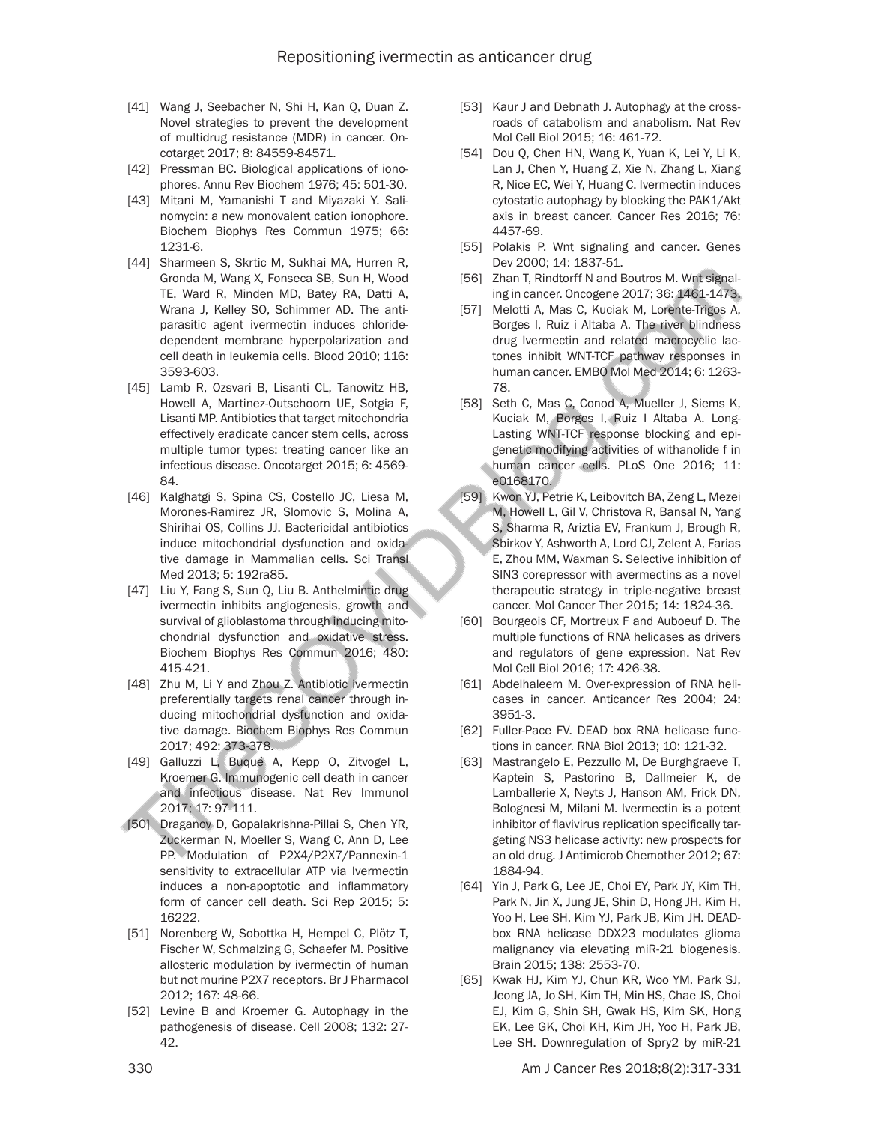- [41] Wang J, Seebacher N, Shi H, Kan Q, Duan Z. Novel strategies to prevent the development of multidrug resistance (MDR) in cancer. Oncotarget 2017; 8: 84559-84571.
- [42] Pressman BC. Biological applications of ionophores. Annu Rev Biochem 1976; 45: 501-30.
- [43] Mitani M, Yamanishi T and Miyazaki Y. Salinomycin: a new monovalent cation ionophore. Biochem Biophys Res Commun 1975; 66: 1231-6.
- [44] Sharmeen S, Skrtic M, Sukhai MA, Hurren R, Gronda M, Wang X, Fonseca SB, Sun H, Wood TE, Ward R, Minden MD, Batey RA, Datti A, Wrana J, Kelley SO, Schimmer AD. The antiparasitic agent ivermectin induces chloridedependent membrane hyperpolarization and cell death in leukemia cells. Blood 2010; 116: 3593-603.
- [45] Lamb R, Ozsvari B, Lisanti CL, Tanowitz HB, Howell A, Martinez-Outschoorn UE, Sotgia F, Lisanti MP. Antibiotics that target mitochondria effectively eradicate cancer stem cells, across multiple tumor types: treating cancer like an infectious disease. Oncotarget 2015; 6: 4569- 84.
- [46] Kalghatgi S, Spina CS, Costello JC, Liesa M, Morones-Ramirez JR, Slomovic S, Molina A, Shirihai OS, Collins JJ. Bactericidal antibiotics induce mitochondrial dysfunction and oxidative damage in Mammalian cells. Sci Transl Med 2013; 5: 192ra85.
- [47] Liu Y, Fang S, Sun Q, Liu B. Anthelmintic drug ivermectin inhibits angiogenesis, growth and survival of glioblastoma through inducing mitochondrial dysfunction and oxidative stress. Biochem Biophys Res Commun 2016; 480: 415-421.
- [48] Zhu M, Li Y and Zhou Z. Antibiotic ivermectin preferentially targets renal cancer through inducing mitochondrial dysfunction and oxidative damage. Biochem Biophys Res Commun 2017; 492: 373-378.
- [49] Galluzzi L, Buqué A, Kepp O, Zitvogel L, Kroemer G. Immunogenic cell death in cancer and infectious disease. Nat Rev Immunol 2017; 17: 97-111.
- [50] Draganov D, Gopalakrishna-Pillai S, Chen YR, Zuckerman N, Moeller S, Wang C, Ann D, Lee PP. Modulation of P2X4/P2X7/Pannexin-1 sensitivity to extracellular ATP via Ivermectin induces a non-apoptotic and inflammatory form of cancer cell death. Sci Rep 2015; 5: 16222.
- [51] Norenberg W, Sobottka H, Hempel C, Plötz T, Fischer W, Schmalzing G, Schaefer M. Positive allosteric modulation by ivermectin of human but not murine P2X7 receptors. Br J Pharmacol 2012; 167: 48-66.
- [52] Levine B and Kroemer G. Autophagy in the pathogenesis of disease. Cell 2008; 132: 27- 42.
- [53] Kaur J and Debnath J. Autophagy at the crossroads of catabolism and anabolism. Nat Rev Mol Cell Biol 2015; 16: 461-72.
- [54] Dou Q, Chen HN, Wang K, Yuan K, Lei Y, Li K, Lan J, Chen Y, Huang Z, Xie N, Zhang L, Xiang R, Nice EC, Wei Y, Huang C. Ivermectin induces cytostatic autophagy by blocking the PAK1/Akt axis in breast cancer. Cancer Res 2016; 76: 4457-69.
- [55] Polakis P. Wnt signaling and cancer. Genes Dev 2000; 14: 1837-51.
- [56] Zhan T, Rindtorff N and Boutros M. Wnt signaling in cancer. Oncogene 2017; 36: 1461-1473.
- [57] Melotti A, Mas C, Kuciak M, Lorente-Trigos A, Borges I, Ruiz i Altaba A. The river blindness drug Ivermectin and related macrocyclic lactones inhibit WNT-TCF pathway responses in human cancer. EMBO Mol Med 2014; 6: 1263- 78.
- [58] Seth C, Mas C, Conod A, Mueller J, Siems K, Kuciak M, Borges I, Ruiz I Altaba A. Long-Lasting WNT-TCF response blocking and epigenetic modifying activities of withanolide f in human cancer cells. PLoS One 2016; 11: e0168170.
- [59] Kwon YJ, Petrie K, Leibovitch BA, Zeng L, Mezei M, Howell L, Gil V, Christova R, Bansal N, Yang S, Sharma R, Ariztia EV, Frankum J, Brough R, Sbirkov Y, Ashworth A, Lord CJ, Zelent A, Farias E, Zhou MM, Waxman S. Selective inhibition of SIN3 corepressor with avermectins as a novel therapeutic strategy in triple-negative breast cancer. Mol Cancer Ther 2015; 14: 1824-36.
- [60] Bourgeois CF, Mortreux F and Auboeuf D. The multiple functions of RNA helicases as drivers and regulators of gene expression. Nat Rev Mol Cell Biol 2016; 17: 426-38.
- [61] Abdelhaleem M. Over-expression of RNA helicases in cancer. Anticancer Res 2004; 24: 3951-3.
- [62] Fuller-Pace FV. DEAD box RNA helicase functions in cancer. RNA Biol 2013; 10: 121-32.
- [63] Mastrangelo E, Pezzullo M, De Burghgraeve T, Kaptein S, Pastorino B, Dallmeier K, de Lamballerie X, Neyts J, Hanson AM, Frick DN, Bolognesi M, Milani M. Ivermectin is a potent inhibitor of flavivirus replication specifically targeting NS3 helicase activity: new prospects for an old drug. J Antimicrob Chemother 2012; 67: 1884-94.
- [64] Yin J, Park G, Lee JE, Choi EY, Park JY, Kim TH, Park N, Jin X, Jung JE, Shin D, Hong JH, Kim H, Yoo H, Lee SH, Kim YJ, Park JB, Kim JH. DEADbox RNA helicase DDX23 modulates glioma malignancy via elevating miR-21 biogenesis. Brain 2015; 138: 2553-70.
- [65] Kwak HJ, Kim YJ, Chun KR, Woo YM, Park SJ, Jeong JA, Jo SH, Kim TH, Min HS, Chae JS, Choi EJ, Kim G, Shin SH, Gwak HS, Kim SK, Hong EK, Lee GK, Choi KH, Kim JH, Yoo H, Park JB, Lee SH. Downregulation of Spry2 by miR-21